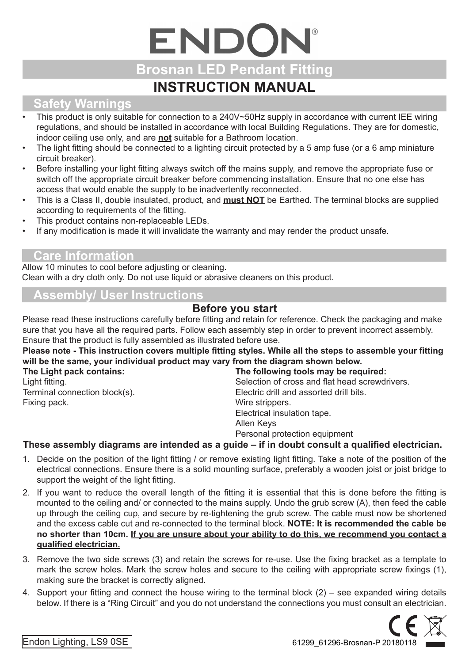# ENDON **Brosnan LED Pendant Fitting INSTRUCTION MANUAL**

## **Safety Warnings**

- This product is only suitable for connection to a 240V~50Hz supply in accordance with current IEE wiring regulations, and should be installed in accordance with local Building Regulations. They are for domestic, indoor ceiling use only, and are **not** suitable for a Bathroom location.
- The light fitting should be connected to a lighting circuit protected by a 5 amp fuse (or a 6 amp miniature circuit breaker).
- Before installing your light fitting always switch off the mains supply, and remove the appropriate fuse or switch off the appropriate circuit breaker before commencing installation. Ensure that no one else has access that would enable the supply to be inadvertently reconnected.
- This is a Class II, double insulated, product, and **must NOT** be Earthed. The terminal blocks are supplied according to requirements of the fitting.
- This product contains non-replaceable LEDs.
- If any modification is made it will invalidate the warranty and may render the product unsafe.

#### **Care Information**

Allow 10 minutes to cool before adjusting or cleaning. Clean with a dry cloth only. Do not use liquid or abrasive cleaners on this product.

### **Assembly/ User Instructions**

#### **Before you start**

Please read these instructions carefully before fitting and retain for reference. Check the packaging and make sure that you have all the required parts. Follow each assembly step in order to prevent incorrect assembly. Ensure that the product is fully assembled as illustrated before use.

|                               | Please note - This instruction covers multiple fitting styles. While all the steps to assemble your fitting<br>will be the same, your individual product may vary from the diagram shown below. |
|-------------------------------|-------------------------------------------------------------------------------------------------------------------------------------------------------------------------------------------------|
| The Light pack contains:      | The following tools may be required:                                                                                                                                                            |
| Light fitting.                | Selection of cross and flat head screwdrivers.                                                                                                                                                  |
| Terminal connection block(s). | Electric drill and assorted drill bits.                                                                                                                                                         |
| Fixing pack.                  | Wire strippers.                                                                                                                                                                                 |
|                               | Electrical insulation tape.                                                                                                                                                                     |
|                               | Allen Keys                                                                                                                                                                                      |
|                               | Personal protection equipment                                                                                                                                                                   |
|                               | 美しょうこうこう こんしょうほう こうこうこう こうしきょく こまいまつ こうこうきまい こきかん まいしん こうこう おとこ こうはやくまつしょくききょう                                                                                                                  |

#### **These assembly diagrams are intended as a guide – if in doubt consult a qualified electrician.**

- 1. Decide on the position of the light fitting / or remove existing light fitting. Take a note of the position of the electrical connections. Ensure there is a solid mounting surface, preferably a wooden joist or joist bridge to support the weight of the light fitting.
- 2. If you want to reduce the overall length of the fitting it is essential that this is done before the fitting is mounted to the ceiling and/ or connected to the mains supply. Undo the grub screw (A), then feed the cable up through the ceiling cup, and secure by re-tightening the grub screw. The cable must now be shortened and the excess cable cut and re-connected to the terminal block. **NOTE: It is recommended the cable be no shorter than 10cm. If you are unsure about your ability to do this, we recommend you contact a qualified electrician.**
- 3. Remove the two side screws (3) and retain the screws for re-use. Use the fixing bracket as a template to mark the screw holes. Mark the screw holes and secure to the ceiling with appropriate screw fixings (1), making sure the bracket is correctly aligned.
- 4. Support your fitting and connect the house wiring to the terminal block (2) see expanded wiring details below. If there is a "Ring Circuit" and you do not understand the connections you must consult an electrician.